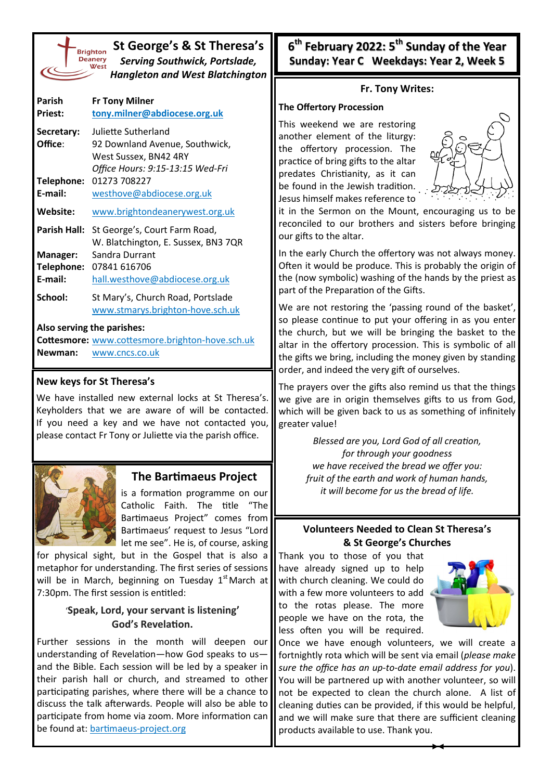|                            | St George's & St Theresa's<br><b>Brighton</b><br><b>Deanery</b><br>Serving Southwick, Portslade,<br><b>Hangleton and West Blatchington</b> |  |  |  |
|----------------------------|--------------------------------------------------------------------------------------------------------------------------------------------|--|--|--|
| Parish                     | <b>Fr Tony Milner</b>                                                                                                                      |  |  |  |
| <b>Priest:</b>             | tony.milner@abdiocese.org.uk                                                                                                               |  |  |  |
| Secretary:                 | Juliette Sutherland                                                                                                                        |  |  |  |
| Office:                    | 92 Downland Avenue, Southwick,                                                                                                             |  |  |  |
|                            | West Sussex, BN42 4RY                                                                                                                      |  |  |  |
|                            | Office Hours: 9:15-13:15 Wed-Fri<br>01273 708227                                                                                           |  |  |  |
| Telephone:<br>E-mail:      | westhove@abdiocese.org.uk                                                                                                                  |  |  |  |
|                            |                                                                                                                                            |  |  |  |
| Website:                   | www.brightondeanerywest.org.uk                                                                                                             |  |  |  |
| <b>Parish Hall:</b>        | St George's, Court Farm Road,                                                                                                              |  |  |  |
|                            | W. Blatchington, E. Sussex, BN3 7QR                                                                                                        |  |  |  |
| Manager:                   | Sandra Durrant                                                                                                                             |  |  |  |
| Telephone:<br>F-mail:      | 07841 616706                                                                                                                               |  |  |  |
|                            | hall.westhove@abdiocese.org.uk                                                                                                             |  |  |  |
| School:                    | St Mary's, Church Road, Portslade                                                                                                          |  |  |  |
|                            | www.stmarys.brighton-hove.sch.uk                                                                                                           |  |  |  |
| Also serving the parishes: |                                                                                                                                            |  |  |  |
|                            | Cottesmore: www.cottesmore.brighton-hove.sch.uk                                                                                            |  |  |  |
| Newman:                    | www.cncs.co.uk                                                                                                                             |  |  |  |

### **New keys for St Theresa's**

We have installed new external locks at St Theresa's. Keyholders that we are aware of will be contacted. If you need a key and we have not contacted you, please contact Fr Tony or Juliette via the parish office.



# **The Bartimaeus Project**

is a formation programme on our Catholic Faith. The title "The Bartimaeus Project" comes from Bartimaeus' request to Jesus "Lord let me see". He is, of course, asking

for physical sight, but in the Gospel that is also a metaphor for understanding. The first series of sessions will be in March, beginning on Tuesday  $1<sup>st</sup>$  March at 7:30pm. The first session is entitled:

## '**Speak, Lord, your servant is listening' God's Revelation.**

Further sessions in the month will deepen our understanding of Revelation—how God speaks to us and the Bible. Each session will be led by a speaker in their parish hall or church, and streamed to other participating parishes, where there will be a chance to discuss the talk afterwards. People will also be able to participate from home via zoom. More information can be found at: [bartimaeus](https://bartimaeus-project.org/)-project.org

**6 th February 2022: 5th Sunday of the Year Sunday: Year C Weekdays: Year 2, Week 5**

#### **Fr. Tony Writes:**

#### **The Offertory Procession**

This weekend we are restoring another element of the liturgy: the offertory procession. The practice of bring gifts to the altar predates Christianity, as it can be found in the Jewish tradition. Jesus himself makes reference to



it in the Sermon on the Mount, encouraging us to be reconciled to our brothers and sisters before bringing our gifts to the altar.

In the early Church the offertory was not always money. Often it would be produce. This is probably the origin of the (now symbolic) washing of the hands by the priest as part of the Preparation of the Gifts.

We are not restoring the 'passing round of the basket', so please continue to put your offering in as you enter the church, but we will be bringing the basket to the altar in the offertory procession. This is symbolic of all the gifts we bring, including the money given by standing order, and indeed the very gift of ourselves.

The prayers over the gifts also remind us that the things we give are in origin themselves gifts to us from God, which will be given back to us as something of infinitely greater value!

> *Blessed are you, Lord God of all creation, for through your goodness we have received the bread we offer you: fruit of the earth and work of human hands, it will become for us the bread of life.*

### **Volunteers Needed to Clean St Theresa's & St George's Churches**

Thank you to those of you that have already signed up to help with church cleaning. We could do with a few more volunteers to add to the rotas please. The more people we have on the rota, the less often you will be required.



Once we have enough volunteers, we will create a fortnightly rota which will be sent via email (*please make sure the office has an up-to-date email address for you*). You will be partnered up with another volunteer, so will not be expected to clean the church alone. A list of cleaning duties can be provided, if this would be helpful, and we will make sure that there are sufficient cleaning products available to use. Thank you.